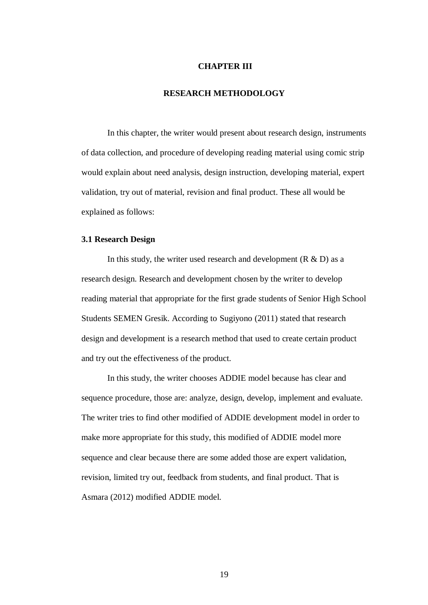## **CHAPTER III**

# **RESEARCH METHODOLOGY**

In this chapter, the writer would present about research design, instruments of data collection, and procedure of developing reading material using comic strip would explain about need analysis, design instruction, developing material, expert validation, try out of material, revision and final product. These all would be explained as follows:

## **3.1 Research Design**

In this study, the writer used research and development  $(R & D)$  as a research design. Research and development chosen by the writer to develop reading material that appropriate for the first grade students of Senior High School Students SEMEN Gresik. According to Sugiyono (2011) stated that research design and development is a research method that used to create certain product and try out the effectiveness of the product.

In this study, the writer chooses ADDIE model because has clear and sequence procedure, those are: analyze, design, develop, implement and evaluate. The writer tries to find other modified of ADDIE development model in order to make more appropriate for this study, this modified of ADDIE model more sequence and clear because there are some added those are expert validation, revision, limited try out, feedback from students, and final product. That is Asmara (2012) modified ADDIE model.

19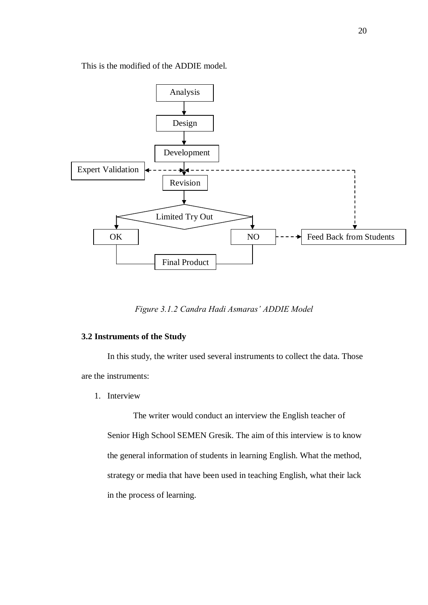This is the modified of the ADDIE model.



*Figure 3.1.2 Candra Hadi Asmaras' ADDIE Model*

# **3.2 Instruments of the Study**

In this study, the writer used several instruments to collect the data. Those are the instruments:

1. Interview

The writer would conduct an interview the English teacher of Senior High School SEMEN Gresik. The aim of this interview is to know the general information of students in learning English. What the method, strategy or media that have been used in teaching English, what their lack in the process of learning.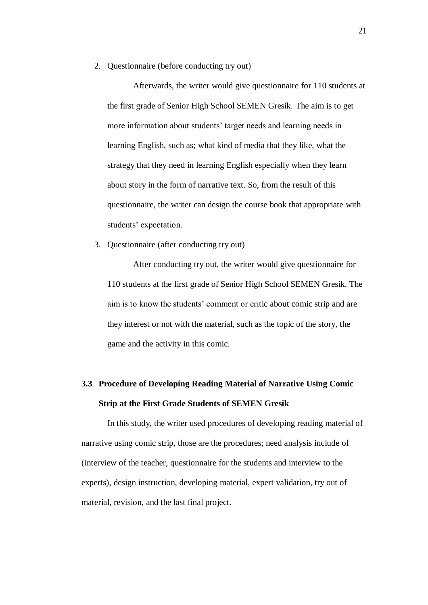2. Questionnaire (before conducting try out)

Afterwards, the writer would give questionnaire for 110 students at the first grade of Senior High School SEMEN Gresik. The aim is to get more information about students' target needs and learning needs in learning English, such as; what kind of media that they like, what the strategy that they need in learning English especially when they learn about story in the form of narrative text. So, from the result of this questionnaire, the writer can design the course book that appropriate with students' expectation.

3. Questionnaire (after conducting try out)

After conducting try out, the writer would give questionnaire for 110 students at the first grade of Senior High School SEMEN Gresik. The aim is to know the students' comment or critic about comic strip and are they interest or not with the material, such as the topic of the story, the game and the activity in this comic.

# **3.3 Procedure of Developing Reading Material of Narrative Using Comic Strip at the First Grade Students of SEMEN Gresik**

In this study, the writer used procedures of developing reading material of narrative using comic strip, those are the procedures; need analysis include of (interview of the teacher, questionnaire for the students and interview to the experts), design instruction, developing material, expert validation, try out of material, revision, and the last final project.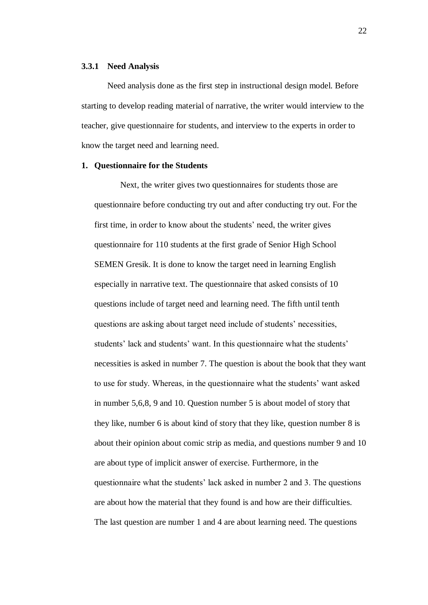#### **3.3.1 Need Analysis**

Need analysis done as the first step in instructional design model. Before starting to develop reading material of narrative, the writer would interview to the teacher, give questionnaire for students, and interview to the experts in order to know the target need and learning need.

#### **1. Questionnaire for the Students**

Next, the writer gives two questionnaires for students those are questionnaire before conducting try out and after conducting try out. For the first time, in order to know about the students' need, the writer gives questionnaire for 110 students at the first grade of Senior High School SEMEN Gresik. It is done to know the target need in learning English especially in narrative text. The questionnaire that asked consists of 10 questions include of target need and learning need. The fifth until tenth questions are asking about target need include of students' necessities, students' lack and students' want. In this questionnaire what the students' necessities is asked in number 7. The question is about the book that they want to use for study. Whereas, in the questionnaire what the students' want asked in number 5,6,8, 9 and 10. Question number 5 is about model of story that they like, number 6 is about kind of story that they like, question number 8 is about their opinion about comic strip as media, and questions number 9 and 10 are about type of implicit answer of exercise. Furthermore, in the questionnaire what the students' lack asked in number 2 and 3. The questions are about how the material that they found is and how are their difficulties. The last question are number 1 and 4 are about learning need. The questions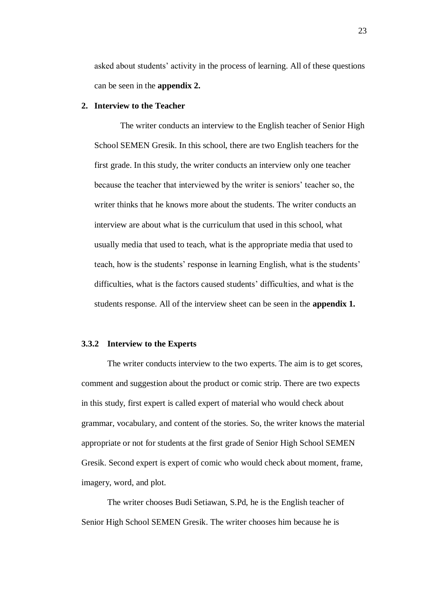asked about students' activity in the process of learning. All of these questions can be seen in the **appendix 2.**

# **2. Interview to the Teacher**

The writer conducts an interview to the English teacher of Senior High School SEMEN Gresik. In this school, there are two English teachers for the first grade. In this study, the writer conducts an interview only one teacher because the teacher that interviewed by the writer is seniors' teacher so, the writer thinks that he knows more about the students. The writer conducts an interview are about what is the curriculum that used in this school, what usually media that used to teach, what is the appropriate media that used to teach, how is the students' response in learning English, what is the students' difficulties, what is the factors caused students' difficulties, and what is the students response. All of the interview sheet can be seen in the **appendix 1.**

## **3.3.2 Interview to the Experts**

The writer conducts interview to the two experts. The aim is to get scores, comment and suggestion about the product or comic strip. There are two expects in this study, first expert is called expert of material who would check about grammar, vocabulary, and content of the stories. So, the writer knows the material appropriate or not for students at the first grade of Senior High School SEMEN Gresik. Second expert is expert of comic who would check about moment, frame, imagery, word, and plot.

The writer chooses Budi Setiawan, S.Pd, he is the English teacher of Senior High School SEMEN Gresik. The writer chooses him because he is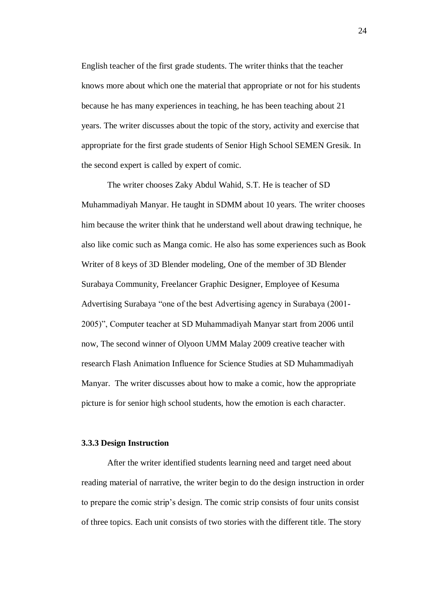English teacher of the first grade students. The writer thinks that the teacher knows more about which one the material that appropriate or not for his students because he has many experiences in teaching, he has been teaching about 21 years. The writer discusses about the topic of the story, activity and exercise that appropriate for the first grade students of Senior High School SEMEN Gresik. In the second expert is called by expert of comic.

The writer chooses Zaky Abdul Wahid, S.T. He is teacher of SD Muhammadiyah Manyar. He taught in SDMM about 10 years. The writer chooses him because the writer think that he understand well about drawing technique, he also like comic such as Manga comic. He also has some experiences such as Book Writer of 8 keys of 3D Blender modeling, One of the member of 3D Blender Surabaya Community, Freelancer Graphic Designer, Employee of Kesuma Advertising Surabaya "one of the best Advertising agency in Surabaya (2001- 2005)", Computer teacher at SD Muhammadiyah Manyar start from 2006 until now, The second winner of Olyoon UMM Malay 2009 creative teacher with research Flash Animation Influence for Science Studies at SD Muhammadiyah Manyar. The writer discusses about how to make a comic, how the appropriate picture is for senior high school students, how the emotion is each character.

### **3.3.3 Design Instruction**

After the writer identified students learning need and target need about reading material of narrative, the writer begin to do the design instruction in order to prepare the comic strip's design. The comic strip consists of four units consist of three topics. Each unit consists of two stories with the different title. The story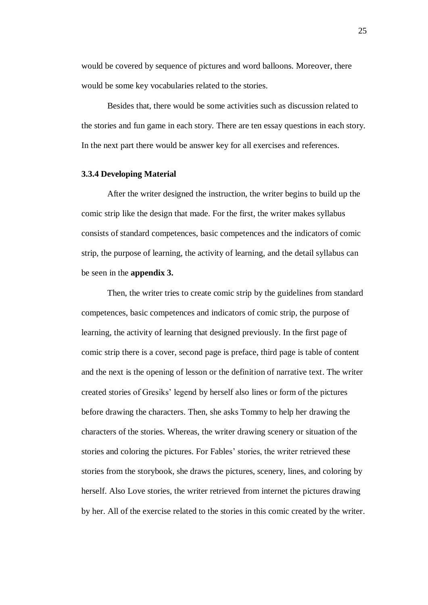would be covered by sequence of pictures and word balloons. Moreover, there would be some key vocabularies related to the stories.

Besides that, there would be some activities such as discussion related to the stories and fun game in each story. There are ten essay questions in each story. In the next part there would be answer key for all exercises and references.

### **3.3.4 Developing Material**

After the writer designed the instruction, the writer begins to build up the comic strip like the design that made. For the first, the writer makes syllabus consists of standard competences, basic competences and the indicators of comic strip, the purpose of learning, the activity of learning, and the detail syllabus can be seen in the **appendix 3.**

Then, the writer tries to create comic strip by the guidelines from standard competences, basic competences and indicators of comic strip, the purpose of learning, the activity of learning that designed previously. In the first page of comic strip there is a cover, second page is preface, third page is table of content and the next is the opening of lesson or the definition of narrative text. The writer created stories of Gresiks' legend by herself also lines or form of the pictures before drawing the characters. Then, she asks Tommy to help her drawing the characters of the stories. Whereas, the writer drawing scenery or situation of the stories and coloring the pictures. For Fables' stories, the writer retrieved these stories from the storybook, she draws the pictures, scenery, lines, and coloring by herself. Also Love stories, the writer retrieved from internet the pictures drawing by her. All of the exercise related to the stories in this comic created by the writer.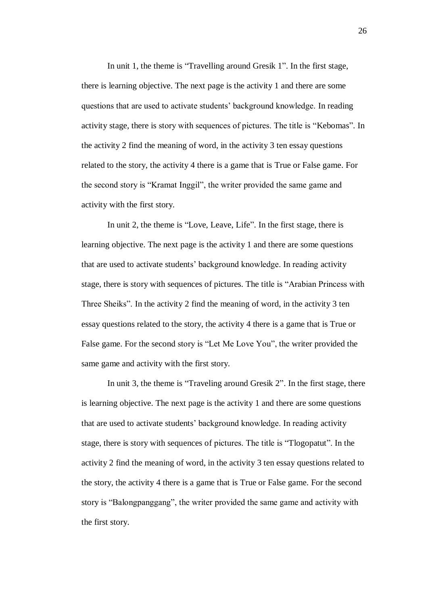In unit 1, the theme is "Travelling around Gresik 1". In the first stage, there is learning objective. The next page is the activity 1 and there are some questions that are used to activate students' background knowledge. In reading activity stage, there is story with sequences of pictures. The title is "Kebomas". In the activity 2 find the meaning of word, in the activity 3 ten essay questions related to the story, the activity 4 there is a game that is True or False game. For the second story is "Kramat Inggil", the writer provided the same game and activity with the first story.

In unit 2, the theme is "Love, Leave, Life". In the first stage, there is learning objective. The next page is the activity 1 and there are some questions that are used to activate students' background knowledge. In reading activity stage, there is story with sequences of pictures. The title is "Arabian Princess with Three Sheiks". In the activity 2 find the meaning of word, in the activity 3 ten essay questions related to the story, the activity 4 there is a game that is True or False game. For the second story is "Let Me Love You", the writer provided the same game and activity with the first story.

In unit 3, the theme is "Traveling around Gresik 2". In the first stage, there is learning objective. The next page is the activity 1 and there are some questions that are used to activate students' background knowledge. In reading activity stage, there is story with sequences of pictures. The title is "Tlogopatut". In the activity 2 find the meaning of word, in the activity 3 ten essay questions related to the story, the activity 4 there is a game that is True or False game. For the second story is "Balongpanggang", the writer provided the same game and activity with the first story.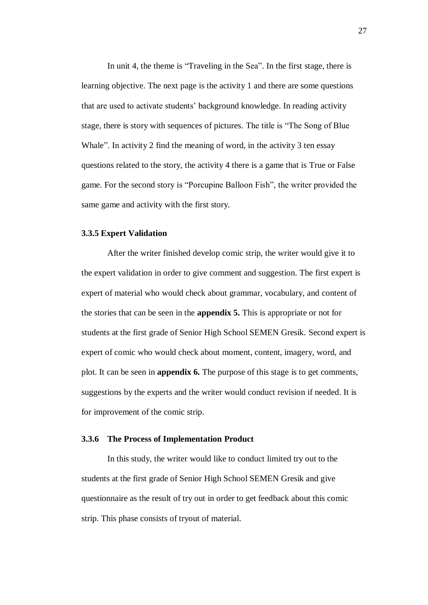In unit 4, the theme is "Traveling in the Sea". In the first stage, there is learning objective. The next page is the activity 1 and there are some questions that are used to activate students' background knowledge. In reading activity stage, there is story with sequences of pictures. The title is "The Song of Blue Whale". In activity 2 find the meaning of word, in the activity 3 ten essay questions related to the story, the activity 4 there is a game that is True or False game. For the second story is "Porcupine Balloon Fish", the writer provided the same game and activity with the first story.

### **3.3.5 Expert Validation**

After the writer finished develop comic strip, the writer would give it to the expert validation in order to give comment and suggestion. The first expert is expert of material who would check about grammar, vocabulary, and content of the stories that can be seen in the **appendix 5.** This is appropriate or not for students at the first grade of Senior High School SEMEN Gresik. Second expert is expert of comic who would check about moment, content, imagery, word, and plot. It can be seen in **appendix 6.** The purpose of this stage is to get comments, suggestions by the experts and the writer would conduct revision if needed. It is for improvement of the comic strip.

## **3.3.6 The Process of Implementation Product**

In this study, the writer would like to conduct limited try out to the students at the first grade of Senior High School SEMEN Gresik and give questionnaire as the result of try out in order to get feedback about this comic strip. This phase consists of tryout of material.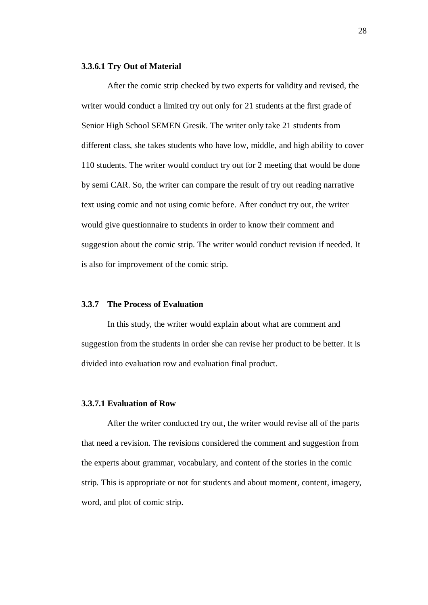#### **3.3.6.1 Try Out of Material**

After the comic strip checked by two experts for validity and revised, the writer would conduct a limited try out only for 21 students at the first grade of Senior High School SEMEN Gresik. The writer only take 21 students from different class, she takes students who have low, middle, and high ability to cover 110 students. The writer would conduct try out for 2 meeting that would be done by semi CAR. So, the writer can compare the result of try out reading narrative text using comic and not using comic before. After conduct try out, the writer would give questionnaire to students in order to know their comment and suggestion about the comic strip. The writer would conduct revision if needed. It is also for improvement of the comic strip.

# **3.3.7 The Process of Evaluation**

In this study, the writer would explain about what are comment and suggestion from the students in order she can revise her product to be better. It is divided into evaluation row and evaluation final product.

#### **3.3.7.1 Evaluation of Row**

After the writer conducted try out, the writer would revise all of the parts that need a revision. The revisions considered the comment and suggestion from the experts about grammar, vocabulary, and content of the stories in the comic strip. This is appropriate or not for students and about moment, content, imagery, word, and plot of comic strip.